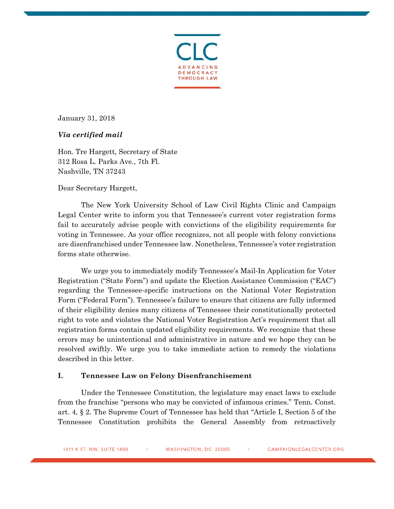

January 31, 2018

# *Via certified mail*

Hon. Tre Hargett, Secretary of State 312 Rosa L. Parks Ave., 7th Fl. Nashville, TN 37243

Dear Secretary Hargett,

The New York University School of Law Civil Rights Clinic and Campaign Legal Center write to inform you that Tennessee's current voter registration forms fail to accurately advise people with convictions of the eligibility requirements for voting in Tennessee. As your office recognizes, not all people with felony convictions are disenfranchised under Tennessee law. Nonetheless, Tennessee's voter registration forms state otherwise.

We urge you to immediately modify Tennessee's Mail-In Application for Voter Registration ("State Form") and update the Election Assistance Commission ("EAC") regarding the Tennessee-specific instructions on the National Voter Registration Form ("Federal Form"). Tennessee's failure to ensure that citizens are fully informed of their eligibility denies many citizens of Tennessee their constitutionally protected right to vote and violates the National Voter Registration Act's requirement that all registration forms contain updated eligibility requirements. We recognize that these errors may be unintentional and administrative in nature and we hope they can be resolved swiftly. We urge you to take immediate action to remedy the violations described in this letter.

# **I. Tennessee Law on Felony Disenfranchisement**

Under the Tennessee Constitution, the legislature may enact laws to exclude from the franchise "persons who may be convicted of infamous crimes." Tenn. Const. art. 4, § 2. The Supreme Court of Tennessee has held that "Article I, Section 5 of the Tennessee Constitution prohibits the General Assembly from retroactively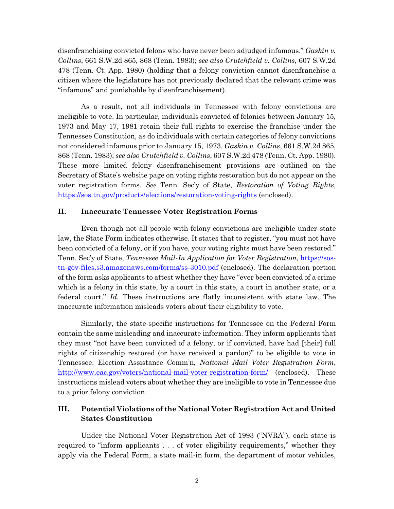disenfranchising convicted felons who have never been adjudged infamous." *Gaskin v. Collins*, 661 S.W.2d 865, 868 (Tenn. 1983); *see also Crutchfield v. Collins*, 607 S.W.2d 478 (Tenn. Ct. App. 1980) (holding that a felony conviction cannot disenfranchise a citizen where the legislature has not previously declared that the relevant crime was "infamous" and punishable by disenfranchisement).

As a result, not all individuals in Tennessee with felony convictions are ineligible to vote. In particular, individuals convicted of felonies between January 15, 1973 and May 17, 1981 retain their full rights to exercise the franchise under the Tennessee Constitution, as do individuals with certain categories of felony convictions not considered infamous prior to January 15, 1973. *Gaskin v. Collins*, 661 S.W.2d 865, 868 (Tenn. 1983); *see also Crutchfield v. Collins*, 607 S.W.2d 478 (Tenn. Ct. App. 1980). These more limited felony disenfranchisement provisions are outlined on the Secretary of State's website page on voting rights restoration but do not appear on the voter registration forms. *See* Tenn. Sec'y of State, *Restoration of Voting Rights*, <https://sos.tn.gov/products/elections/restoration-voting-rights> (enclosed).

### **II. Inaccurate Tennessee Voter Registration Forms**

Even though not all people with felony convictions are ineligible under state law, the State Form indicates otherwise. It states that to register, "you must not have been convicted of a felony, or if you have, your voting rights must have been restored." Tenn. Sec'y of State, *Tennessee Mail-In Application for Voter Registration*, [https://sos](https://sos-tn-gov-files.s3.amazonaws.com/forms/ss-3010.pdf)[tn-gov-files.s3.amazonaws.com/forms/ss-3010.pdf](https://sos-tn-gov-files.s3.amazonaws.com/forms/ss-3010.pdf) (enclosed). The declaration portion of the form asks applicants to attest whether they have "ever been convicted of a crime which is a felony in this state, by a court in this state, a court in another state, or a federal court." *Id.* These instructions are flatly inconsistent with state law. The inaccurate information misleads voters about their eligibility to vote.

Similarly, the state-specific instructions for Tennessee on the Federal Form contain the same misleading and inaccurate information. They inform applicants that they must "not have been convicted of a felony, or if convicted, have had [their] full rights of citizenship restored (or have received a pardon)" to be eligible to vote in Tennessee. Election Assistance Comm'n, *National Mail Voter Registration Form*, <http://www.eac.gov/voters/national-mail-voter-registration-form/> (enclosed). These instructions mislead voters about whether they are ineligible to vote in Tennessee due to a prior felony conviction.

# **III. Potential Violations of the National Voter Registration Act and United States Constitution**

Under the National Voter Registration Act of 1993 ("NVRA"), each state is required to "inform applicants . . . of voter eligibility requirements," whether they apply via the Federal Form, a state mail-in form, the department of motor vehicles,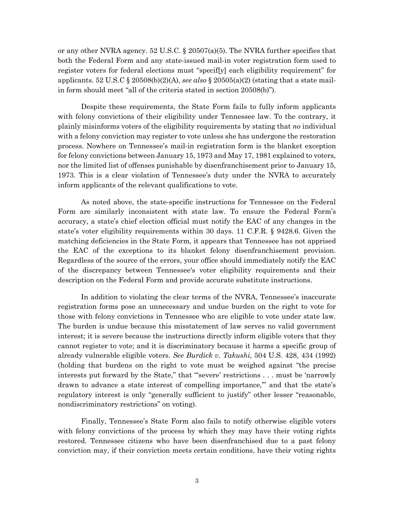or any other NVRA agency. 52 U.S.C.  $\S 20507(a)(5)$ . The NVRA further specifies that both the Federal Form and any state-issued mail-in voter registration form used to register voters for federal elections must "specif[y] each eligibility requirement" for applicants. 52 U.S.C § 20508(b)(2)(A), *see also* § 20505(a)(2) (stating that a state mailin form should meet "all of the criteria stated in section 20508(b)").

Despite these requirements, the State Form fails to fully inform applicants with felony convictions of their eligibility under Tennessee law. To the contrary, it plainly misinforms voters of the eligibility requirements by stating that *no* individual with a felony conviction may register to vote unless she has undergone the restoration process. Nowhere on Tennessee's mail-in registration form is the blanket exception for felony convictions between January 15, 1973 and May 17, 1981 explained to voters, nor the limited list of offenses punishable by disenfranchisement prior to January 15, 1973. This is a clear violation of Tennessee's duty under the NVRA to accurately inform applicants of the relevant qualifications to vote.

As noted above, the state-specific instructions for Tennessee on the Federal Form are similarly inconsistent with state law. To ensure the Federal Form's accuracy, a state's chief election official must notify the EAC of any changes in the state's voter eligibility requirements within 30 days. 11 C.F.R. § 9428.6. Given the matching deficiencies in the State Form, it appears that Tennessee has not apprised the EAC of the exceptions to its blanket felony disenfranchisement provision. Regardless of the source of the errors, your office should immediately notify the EAC of the discrepancy between Tennessee's voter eligibility requirements and their description on the Federal Form and provide accurate substitute instructions.

In addition to violating the clear terms of the NVRA, Tennessee's inaccurate registration forms pose an unnecessary and undue burden on the right to vote for those with felony convictions in Tennessee who are eligible to vote under state law. The burden is undue because this misstatement of law serves no valid government interest; it is severe because the instructions directly inform eligible voters that they cannot register to vote; and it is discriminatory because it harms a specific group of already vulnerable eligible voters. *See Burdick v. Takushi*, 504 U.S. 428, 434 (1992) (holding that burdens on the right to vote must be weighed against "the precise interests put forward by the State," that "severe' restrictions . . . must be 'narrowly drawn to advance a state interest of compelling importance,'" and that the state's regulatory interest is only "generally sufficient to justify" other lesser "reasonable, nondiscriminatory restrictions" on voting).

Finally, Tennessee's State Form also fails to notify otherwise eligible voters with felony convictions of the process by which they may have their voting rights restored. Tennessee citizens who have been disenfranchised due to a past felony conviction may, if their conviction meets certain conditions, have their voting rights